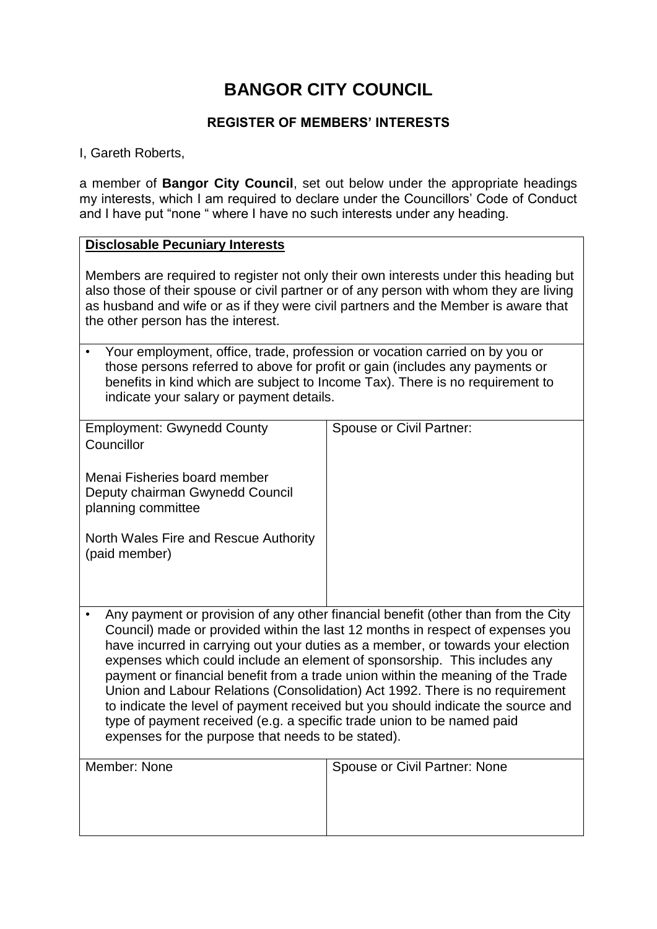# **BANGOR CITY COUNCIL**

### **REGISTER OF MEMBERS' INTERESTS**

#### I, Gareth Roberts,

a member of **Bangor City Council**, set out below under the appropriate headings my interests, which I am required to declare under the Councillors' Code of Conduct and I have put "none " where I have no such interests under any heading.

#### **Disclosable Pecuniary Interests**

Members are required to register not only their own interests under this heading but also those of their spouse or civil partner or of any person with whom they are living as husband and wife or as if they were civil partners and the Member is aware that the other person has the interest.

| • Your employment, office, trade, profession or vocation carried on by you or                                             |
|---------------------------------------------------------------------------------------------------------------------------|
| those persons referred to above for profit or gain (includes any payments or                                              |
| benefits in kind which are subject to Income Tax). There is no requirement to<br>indicate your salary or payment details. |

| <b>Employment: Gwynedd County</b><br>Councillor                                                                                                                                                                                                                                                                                                                                                                                                                                                                                                                                                                                                                                                                            | Spouse or Civil Partner:      |
|----------------------------------------------------------------------------------------------------------------------------------------------------------------------------------------------------------------------------------------------------------------------------------------------------------------------------------------------------------------------------------------------------------------------------------------------------------------------------------------------------------------------------------------------------------------------------------------------------------------------------------------------------------------------------------------------------------------------------|-------------------------------|
| Menai Fisheries board member<br>Deputy chairman Gwynedd Council<br>planning committee                                                                                                                                                                                                                                                                                                                                                                                                                                                                                                                                                                                                                                      |                               |
| North Wales Fire and Rescue Authority<br>(paid member)                                                                                                                                                                                                                                                                                                                                                                                                                                                                                                                                                                                                                                                                     |                               |
| Any payment or provision of any other financial benefit (other than from the City<br>Council) made or provided within the last 12 months in respect of expenses you<br>have incurred in carrying out your duties as a member, or towards your election<br>expenses which could include an element of sponsorship. This includes any<br>payment or financial benefit from a trade union within the meaning of the Trade<br>Union and Labour Relations (Consolidation) Act 1992. There is no requirement<br>to indicate the level of payment received but you should indicate the source and<br>type of payment received (e.g. a specific trade union to be named paid<br>expenses for the purpose that needs to be stated). |                               |
| Member: None                                                                                                                                                                                                                                                                                                                                                                                                                                                                                                                                                                                                                                                                                                               | Spouse or Civil Partner: None |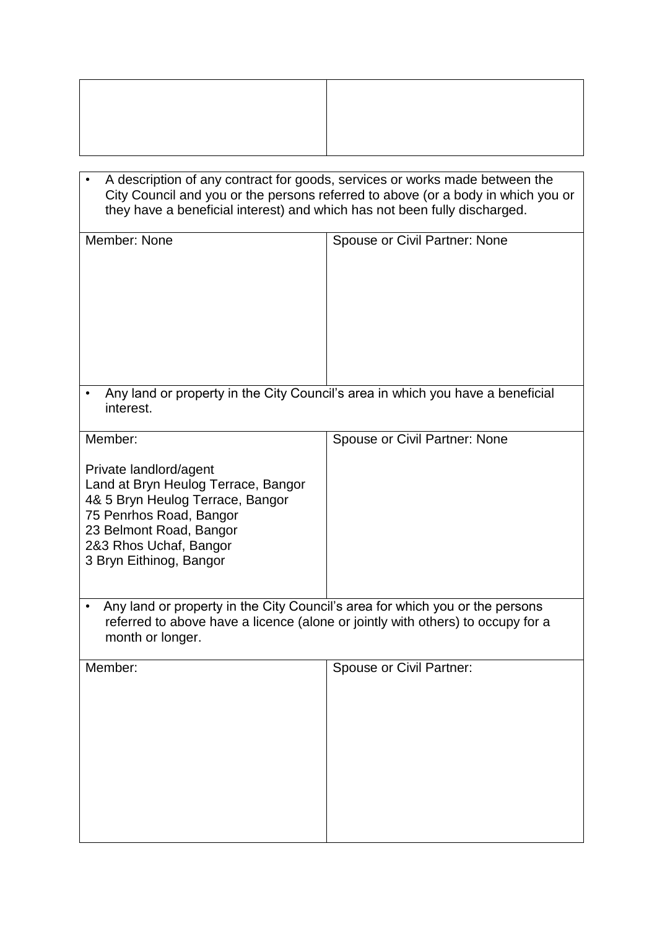• A description of any contract for goods, services or works made between the City Council and you or the persons referred to above (or a body in which you or they have a beneficial interest) and which has not been fully discharged.

| Member: None                                                                                                                                                                                                            | Spouse or Civil Partner: None                                                   |
|-------------------------------------------------------------------------------------------------------------------------------------------------------------------------------------------------------------------------|---------------------------------------------------------------------------------|
| interest.                                                                                                                                                                                                               | Any land or property in the City Council's area in which you have a beneficial  |
| Member:<br>Private landlord/agent<br>Land at Bryn Heulog Terrace, Bangor<br>4& 5 Bryn Heulog Terrace, Bangor<br>75 Penrhos Road, Bangor<br>23 Belmont Road, Bangor<br>2&3 Rhos Uchaf, Bangor<br>3 Bryn Eithinog, Bangor | Spouse or Civil Partner: None                                                   |
| Any land or property in the City Council's area for which you or the persons<br>$\bullet$<br>month or longer.                                                                                                           | referred to above have a licence (alone or jointly with others) to occupy for a |
| Member:                                                                                                                                                                                                                 | Spouse or Civil Partner:                                                        |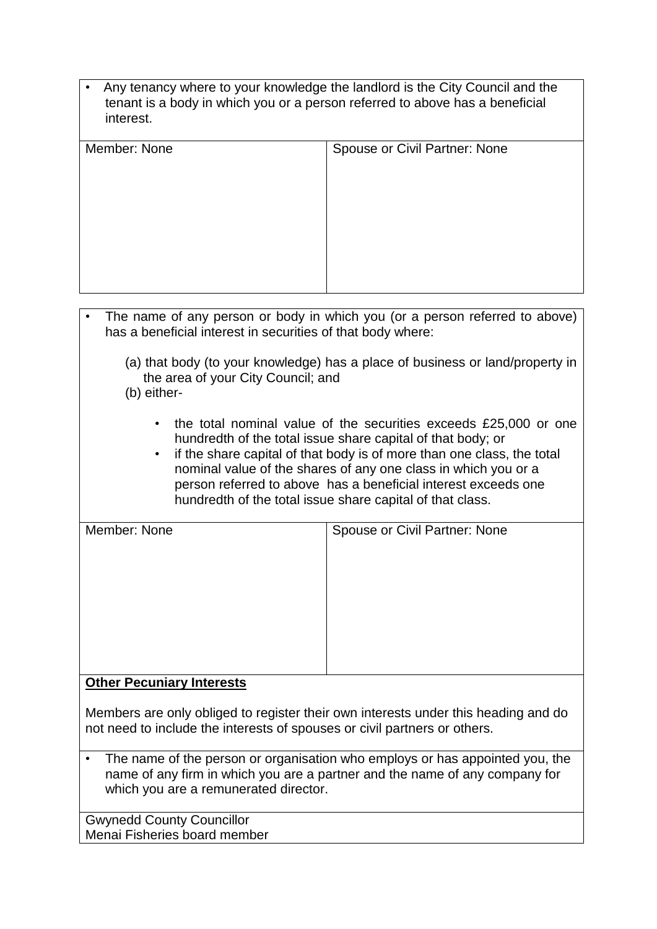| • Any tenancy where to your knowledge the landlord is the City Council and the |
|--------------------------------------------------------------------------------|
| tenant is a body in which you or a person referred to above has a beneficial   |
| interest.                                                                      |

| Member: None | Spouse or Civil Partner: None |
|--------------|-------------------------------|
|              |                               |
|              |                               |
|              |                               |
|              |                               |
|              |                               |
|              |                               |
|              |                               |
|              |                               |

- The name of any person or body in which you (or a person referred to above) has a beneficial interest in securities of that body where:
	- (a) that body (to your knowledge) has a place of business or land/property in the area of your City Council; and
	- (b) either-
		- the total nominal value of the securities exceeds £25,000 or one hundredth of the total issue share capital of that body; or
		- if the share capital of that body is of more than one class, the total nominal value of the shares of any one class in which you or a person referred to above has a beneficial interest exceeds one hundredth of the total issue share capital of that class.

| Member: None |  |
|--------------|--|
|--------------|--|

Spouse or Civil Partner: None

## **Other Pecuniary Interests**

Members are only obliged to register their own interests under this heading and do not need to include the interests of spouses or civil partners or others.

• The name of the person or organisation who employs or has appointed you, the name of any firm in which you are a partner and the name of any company for which you are a remunerated director.

Gwynedd County Councillor Menai Fisheries board member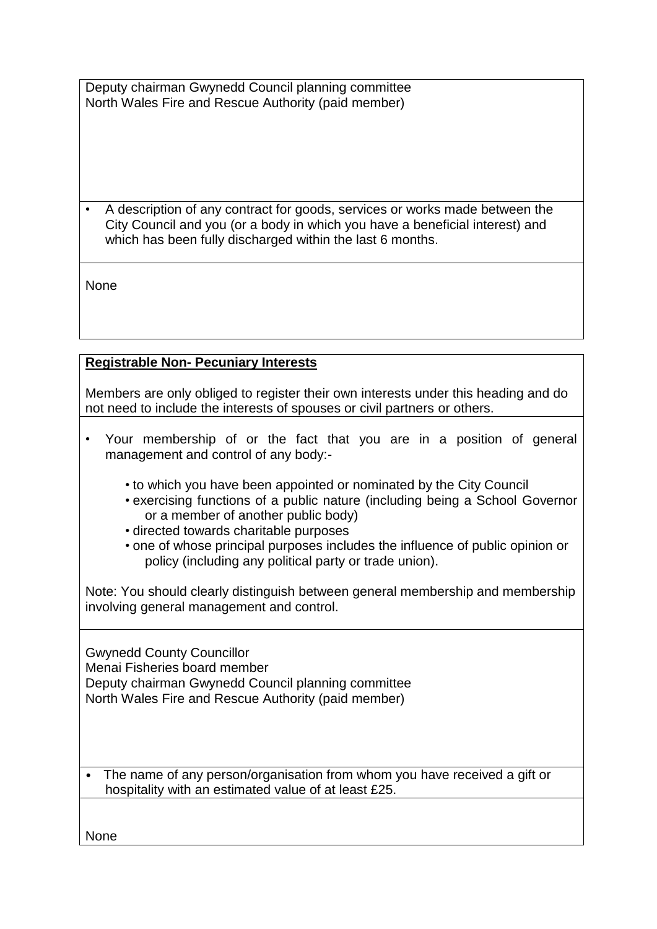Deputy chairman Gwynedd Council planning committee North Wales Fire and Rescue Authority (paid member)

• A description of any contract for goods, services or works made between the City Council and you (or a body in which you have a beneficial interest) and which has been fully discharged within the last 6 months.

**None** 

# **Registrable Non- Pecuniary Interests**

Members are only obliged to register their own interests under this heading and do not need to include the interests of spouses or civil partners or others.

- Your membership of or the fact that you are in a position of general management and control of any body:-
	- to which you have been appointed or nominated by the City Council
	- exercising functions of a public nature (including being a School Governor or a member of another public body)
	- directed towards charitable purposes
	- one of whose principal purposes includes the influence of public opinion or policy (including any political party or trade union).

Note: You should clearly distinguish between general membership and membership involving general management and control.

Gwynedd County Councillor Menai Fisheries board member Deputy chairman Gwynedd Council planning committee North Wales Fire and Rescue Authority (paid member)

• The name of any person/organisation from whom you have received a gift or hospitality with an estimated value of at least £25.

None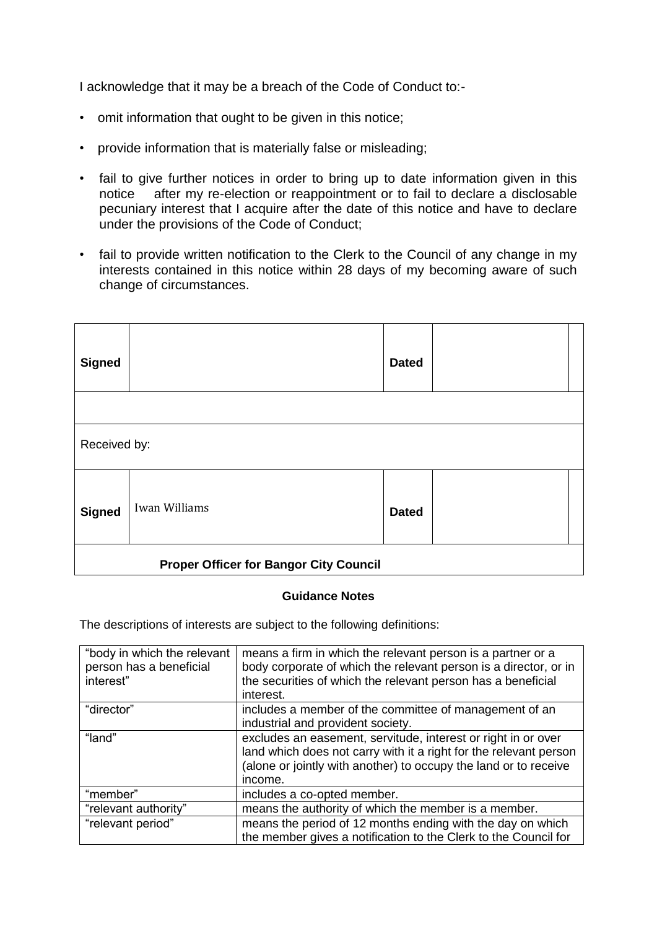I acknowledge that it may be a breach of the Code of Conduct to:-

- omit information that ought to be given in this notice;
- provide information that is materially false or misleading;
- fail to give further notices in order to bring up to date information given in this notice after my re-election or reappointment or to fail to declare a disclosable pecuniary interest that I acquire after the date of this notice and have to declare under the provisions of the Code of Conduct;
- fail to provide written notification to the Clerk to the Council of any change in my interests contained in this notice within 28 days of my becoming aware of such change of circumstances.

| <b>Signed</b>                                 |               | <b>Dated</b> |  |
|-----------------------------------------------|---------------|--------------|--|
|                                               |               |              |  |
| Received by:                                  |               |              |  |
| <b>Signed</b>                                 | Iwan Williams | <b>Dated</b> |  |
| <b>Proper Officer for Bangor City Council</b> |               |              |  |

#### **Guidance Notes**

The descriptions of interests are subject to the following definitions:

| "body in which the relevant<br>person has a beneficial<br>interest" | means a firm in which the relevant person is a partner or a<br>body corporate of which the relevant person is a director, or in<br>the securities of which the relevant person has a beneficial<br>interest.      |
|---------------------------------------------------------------------|-------------------------------------------------------------------------------------------------------------------------------------------------------------------------------------------------------------------|
| "director"                                                          | includes a member of the committee of management of an<br>industrial and provident society.                                                                                                                       |
| "land"                                                              | excludes an easement, servitude, interest or right in or over<br>land which does not carry with it a right for the relevant person<br>(alone or jointly with another) to occupy the land or to receive<br>income. |
| "member"                                                            | includes a co-opted member.                                                                                                                                                                                       |
| "relevant authority"                                                | means the authority of which the member is a member.                                                                                                                                                              |
| "relevant period"                                                   | means the period of 12 months ending with the day on which<br>the member gives a notification to the Clerk to the Council for                                                                                     |